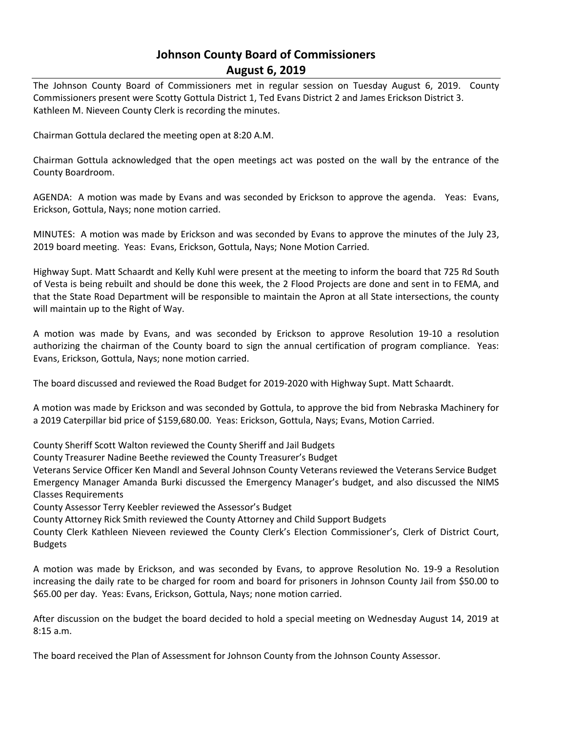# **Johnson County Board of Commissioners August 6, 2019**

The Johnson County Board of Commissioners met in regular session on Tuesday August 6, 2019. County Commissioners present were Scotty Gottula District 1, Ted Evans District 2 and James Erickson District 3. Kathleen M. Nieveen County Clerk is recording the minutes.

Chairman Gottula declared the meeting open at 8:20 A.M.

Chairman Gottula acknowledged that the open meetings act was posted on the wall by the entrance of the County Boardroom.

AGENDA: A motion was made by Evans and was seconded by Erickson to approve the agenda. Yeas: Evans, Erickson, Gottula, Nays; none motion carried.

MINUTES: A motion was made by Erickson and was seconded by Evans to approve the minutes of the July 23, 2019 board meeting. Yeas: Evans, Erickson, Gottula, Nays; None Motion Carried.

Highway Supt. Matt Schaardt and Kelly Kuhl were present at the meeting to inform the board that 725 Rd South of Vesta is being rebuilt and should be done this week, the 2 Flood Projects are done and sent in to FEMA, and that the State Road Department will be responsible to maintain the Apron at all State intersections, the county will maintain up to the Right of Way.

A motion was made by Evans, and was seconded by Erickson to approve Resolution 19-10 a resolution authorizing the chairman of the County board to sign the annual certification of program compliance. Yeas: Evans, Erickson, Gottula, Nays; none motion carried.

The board discussed and reviewed the Road Budget for 2019-2020 with Highway Supt. Matt Schaardt.

A motion was made by Erickson and was seconded by Gottula, to approve the bid from Nebraska Machinery for a 2019 Caterpillar bid price of \$159,680.00. Yeas: Erickson, Gottula, Nays; Evans, Motion Carried.

County Sheriff Scott Walton reviewed the County Sheriff and Jail Budgets

County Treasurer Nadine Beethe reviewed the County Treasurer's Budget

Veterans Service Officer Ken Mandl and Several Johnson County Veterans reviewed the Veterans Service Budget Emergency Manager Amanda Burki discussed the Emergency Manager's budget, and also discussed the NIMS Classes Requirements

County Assessor Terry Keebler reviewed the Assessor's Budget

County Attorney Rick Smith reviewed the County Attorney and Child Support Budgets

County Clerk Kathleen Nieveen reviewed the County Clerk's Election Commissioner's, Clerk of District Court, Budgets

A motion was made by Erickson, and was seconded by Evans, to approve Resolution No. 19-9 a Resolution increasing the daily rate to be charged for room and board for prisoners in Johnson County Jail from \$50.00 to \$65.00 per day. Yeas: Evans, Erickson, Gottula, Nays; none motion carried.

After discussion on the budget the board decided to hold a special meeting on Wednesday August 14, 2019 at 8:15 a.m.

The board received the Plan of Assessment for Johnson County from the Johnson County Assessor.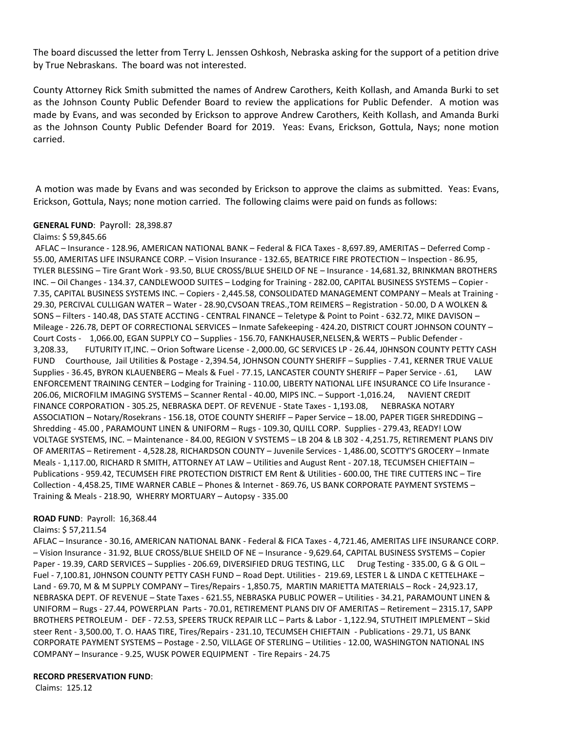The board discussed the letter from Terry L. Jenssen Oshkosh, Nebraska asking for the support of a petition drive by True Nebraskans. The board was not interested.

County Attorney Rick Smith submitted the names of Andrew Carothers, Keith Kollash, and Amanda Burki to set as the Johnson County Public Defender Board to review the applications for Public Defender. A motion was made by Evans, and was seconded by Erickson to approve Andrew Carothers, Keith Kollash, and Amanda Burki as the Johnson County Public Defender Board for 2019. Yeas: Evans, Erickson, Gottula, Nays; none motion carried.

A motion was made by Evans and was seconded by Erickson to approve the claims as submitted. Yeas: Evans, Erickson, Gottula, Nays; none motion carried. The following claims were paid on funds as follows:

### **GENERAL FUND**: Payroll: 28,398.87

#### Claims: \$ 59,845.66

AFLAC – Insurance - 128.96, AMERICAN NATIONAL BANK – Federal & FICA Taxes - 8,697.89, AMERITAS – Deferred Comp - 55.00, AMERITAS LIFE INSURANCE CORP. – Vision Insurance - 132.65, BEATRICE FIRE PROTECTION – Inspection - 86.95, TYLER BLESSING – Tire Grant Work - 93.50, BLUE CROSS/BLUE SHEILD OF NE – Insurance - 14,681.32, BRINKMAN BROTHERS INC. – Oil Changes - 134.37, CANDLEWOOD SUITES – Lodging for Training - 282.00, CAPITAL BUSINESS SYSTEMS – Copier - 7.35, CAPITAL BUSINESS SYSTEMS INC. – Copiers - 2,445.58, CONSOLIDATED MANAGEMENT COMPANY – Meals at Training - 29.30, PERCIVAL CULLIGAN WATER – Water - 28.90,CVSOAN TREAS.,TOM REIMERS – Registration - 50.00, D A WOLKEN & SONS – Filters - 140.48, DAS STATE ACCTING - CENTRAL FINANCE – Teletype & Point to Point - 632.72, MIKE DAVISON – Mileage - 226.78, DEPT OF CORRECTIONAL SERVICES – Inmate Safekeeping - 424.20, DISTRICT COURT JOHNSON COUNTY – Court Costs - 1,066.00, EGAN SUPPLY CO – Supplies - 156.70, FANKHAUSER,NELSEN,& WERTS – Public Defender - 3,208.33, FUTURITY IT,INC. – Orion Software License - 2,000.00, GC SERVICES LP - 26.44, J0HNSON COUNTY PETTY CASH FUND Courthouse, Jail Utilities & Postage - 2,394.54, JOHNSON COUNTY SHERIFF – Supplies - 7.41, KERNER TRUE VALUE Supplies - 36.45, BYRON KLAUENBERG – Meals & Fuel - 77.15, LANCASTER COUNTY SHERIFF – Paper Service - .61, LAW ENFORCEMENT TRAINING CENTER – Lodging for Training - 110.00, LIBERTY NATIONAL LIFE INSURANCE CO Life Insurance - 206.06, MICROFILM IMAGING SYSTEMS – Scanner Rental - 40.00, MIPS INC. – Support -1,016.24, NAVIENT CREDIT FINANCE CORPORATION - 305.25, NEBRASKA DEPT. OF REVENUE - State Taxes - 1,193.08, NEBRASKA NOTARY ASSOCIATION – Notary/Rosekrans - 156.18, OTOE COUNTY SHERIFF – Paper Service – 18.00, PAPER TIGER SHREDDING – Shredding - 45.00 , PARAMOUNT LINEN & UNIFORM – Rugs - 109.30, QUILL CORP. Supplies - 279.43, READY! LOW VOLTAGE SYSTEMS, INC. – Maintenance - 84.00, REGION V SYSTEMS – LB 204 & LB 302 - 4,251.75, RETIREMENT PLANS DIV OF AMERITAS – Retirement - 4,528.28, RICHARDSON COUNTY – Juvenile Services - 1,486.00, SCOTTY'S GROCERY – Inmate Meals - 1,117.00, RICHARD R SMITH, ATTORNEY AT LAW – Utilities and August Rent - 207.18, TECUMSEH CHIEFTAIN – Publications - 959.42, TECUMSEH FIRE PROTECTION DISTRICT EM Rent & Utilities - 600.00, THE TIRE CUTTERS INC – Tire Collection - 4,458.25, TIME WARNER CABLE – Phones & Internet - 869.76, US BANK CORPORATE PAYMENT SYSTEMS – Training & Meals - 218.90, WHERRY MORTUARY – Autopsy - 335.00

#### **ROAD FUND**: Payroll: 16,368.44

#### Claims: \$ 57,211.54

AFLAC – Insurance - 30.16, AMERICAN NATIONAL BANK - Federal & FICA Taxes - 4,721.46, AMERITAS LIFE INSURANCE CORP. – Vision Insurance - 31.92, BLUE CROSS/BLUE SHEILD OF NE – Insurance - 9,629.64, CAPITAL BUSINESS SYSTEMS – Copier Paper - 19.39, CARD SERVICES - Supplies - 206.69, DIVERSIFIED DRUG TESTING, LLC Drug Testing - 335.00, G & G OIL -Fuel - 7,100.81, J0HNSON COUNTY PETTY CASH FUND – Road Dept. Utilities - 219.69, LESTER L & LINDA C KETTELHAKE – Land - 69.70, M & M SUPPLY COMPANY – Tires/Repairs - 1,850.75, MARTIN MARIETTA MATERIALS – Rock - 24,923.17, NEBRASKA DEPT. OF REVENUE – State Taxes - 621.55, NEBRASKA PUBLIC POWER – Utilities - 34.21, PARAMOUNT LINEN & UNIFORM – Rugs - 27.44, POWERPLAN Parts - 70.01, RETIREMENT PLANS DIV OF AMERITAS – Retirement – 2315.17, SAPP BROTHERS PETROLEUM - DEF - 72.53, SPEERS TRUCK REPAIR LLC – Parts & Labor - 1,122.94, STUTHEIT IMPLEMENT – Skid steer Rent - 3,500.00, T. O. HAAS TIRE, Tires/Repairs - 231.10, TECUMSEH CHIEFTAIN - Publications - 29.71, US BANK CORPORATE PAYMENT SYSTEMS – Postage - 2.50, VILLAGE OF STERLING – Utilities - 12.00, WASHINGTON NATIONAL INS COMPANY – Insurance - 9.25, WUSK POWER EQUIPMENT - Tire Repairs - 24.75

#### **RECORD PRESERVATION FUND**:

Claims: 125.12